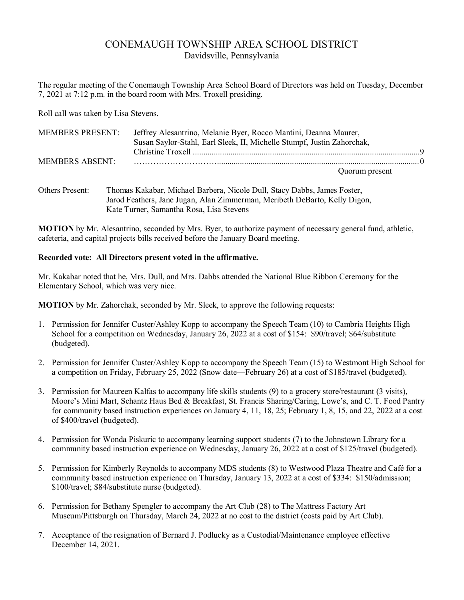# CONEMAUGH TOWNSHIP AREA SCHOOL DISTRICT Davidsville, Pennsylvania

The regular meeting of the Conemaugh Township Area School Board of Directors was held on Tuesday, December 7, 2021 at 7:12 p.m. in the board room with Mrs. Troxell presiding.

Roll call was taken by Lisa Stevens.

| <b>MEMBERS PRESENT:</b> | Jeffrey Alesantrino, Melanie Byer, Rocco Mantini, Deanna Maurer,<br>Susan Saylor-Stahl, Earl Sleek, II, Michelle Stumpf, Justin Zahorchak, |  |
|-------------------------|--------------------------------------------------------------------------------------------------------------------------------------------|--|
|                         |                                                                                                                                            |  |
| MEMBERS ABSENT:         |                                                                                                                                            |  |
|                         | Quorum present                                                                                                                             |  |

Others Present: Thomas Kakabar, Michael Barbera, Nicole Dull, Stacy Dabbs, James Foster, Jarod Feathers, Jane Jugan, Alan Zimmerman, Meribeth DeBarto, Kelly Digon, Kate Turner, Samantha Rosa, Lisa Stevens

**MOTION** by Mr. Alesantrino, seconded by Mrs. Byer, to authorize payment of necessary general fund, athletic, cafeteria, and capital projects bills received before the January Board meeting.

# **Recorded vote: All Directors present voted in the affirmative.**

Mr. Kakabar noted that he, Mrs. Dull, and Mrs. Dabbs attended the National Blue Ribbon Ceremony for the Elementary School, which was very nice.

**MOTION** by Mr. Zahorchak, seconded by Mr. Sleek, to approve the following requests:

- 1. Permission for Jennifer Custer/Ashley Kopp to accompany the Speech Team (10) to Cambria Heights High School for a competition on Wednesday, January 26, 2022 at a cost of \$154: \$90/travel; \$64/substitute (budgeted).
- 2. Permission for Jennifer Custer/Ashley Kopp to accompany the Speech Team (15) to Westmont High School for a competition on Friday, February 25, 2022 (Snow date—February 26) at a cost of \$185/travel (budgeted).
- 3. Permission for Maureen Kalfas to accompany life skills students (9) to a grocery store/restaurant (3 visits), Moore's Mini Mart, Schantz Haus Bed & Breakfast, St. Francis Sharing/Caring, Lowe's, and C. T. Food Pantry for community based instruction experiences on January 4, 11, 18, 25; February 1, 8, 15, and 22, 2022 at a cost of \$400/travel (budgeted).
- 4. Permission for Wonda Piskuric to accompany learning support students (7) to the Johnstown Library for a community based instruction experience on Wednesday, January 26, 2022 at a cost of \$125/travel (budgeted).
- 5. Permission for Kimberly Reynolds to accompany MDS students (8) to Westwood Plaza Theatre and Café for a community based instruction experience on Thursday, January 13, 2022 at a cost of \$334: \$150/admission; \$100/travel; \$84/substitute nurse (budgeted).
- 6. Permission for Bethany Spengler to accompany the Art Club (28) to The Mattress Factory Art Museum/Pittsburgh on Thursday, March 24, 2022 at no cost to the district (costs paid by Art Club).
- 7. Acceptance of the resignation of Bernard J. Podlucky as a Custodial/Maintenance employee effective December 14, 2021.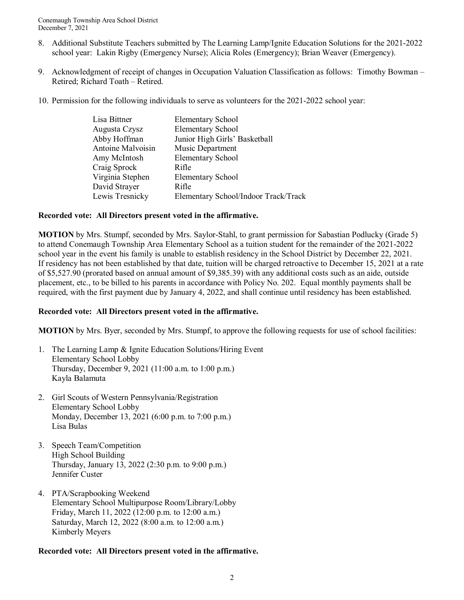- 8. Additional Substitute Teachers submitted by The Learning Lamp/Ignite Education Solutions for the 2021-2022 school year: Lakin Rigby (Emergency Nurse); Alicia Roles (Emergency); Brian Weaver (Emergency).
- 9. Acknowledgment of receipt of changes in Occupation Valuation Classification as follows: Timothy Bowman Retired; Richard Toath – Retired.
- 10. Permission for the following individuals to serve as volunteers for the 2021-2022 school year:

| Lisa Bittner      | <b>Elementary School</b>             |
|-------------------|--------------------------------------|
| Augusta Czysz     | <b>Elementary School</b>             |
| Abby Hoffman      | Junior High Girls' Basketball        |
| Antoine Malvoisin | Music Department                     |
| Amy McIntosh      | <b>Elementary School</b>             |
| Craig Sprock      | Rifle                                |
| Virginia Stephen  | <b>Elementary School</b>             |
| David Strayer     | Rifle                                |
| Lewis Tresnicky   | Elementary School/Indoor Track/Track |
|                   |                                      |

# **Recorded vote: All Directors present voted in the affirmative.**

**MOTION** by Mrs. Stumpf, seconded by Mrs. Saylor-Stahl, to grant permission for Sabastian Podlucky (Grade 5) to attend Conemaugh Township Area Elementary School as a tuition student for the remainder of the 2021-2022 school year in the event his family is unable to establish residency in the School District by December 22, 2021. If residency has not been established by that date, tuition will be charged retroactive to December 15, 2021 at a rate of \$5,527.90 (prorated based on annual amount of \$9,385.39) with any additional costs such as an aide, outside placement, etc., to be billed to his parents in accordance with Policy No. 202. Equal monthly payments shall be required, with the first payment due by January 4, 2022, and shall continue until residency has been established.

# **Recorded vote: All Directors present voted in the affirmative.**

**MOTION** by Mrs. Byer, seconded by Mrs. Stumpf, to approve the following requests for use of school facilities:

- 1. The Learning Lamp & Ignite Education Solutions/Hiring Event Elementary School Lobby Thursday, December 9, 2021 (11:00 a.m. to 1:00 p.m.) Kayla Balamuta
- 2. Girl Scouts of Western Pennsylvania/Registration Elementary School Lobby Monday, December 13, 2021 (6:00 p.m. to 7:00 p.m.) Lisa Bulas
- 3. Speech Team/Competition High School Building Thursday, January 13, 2022 (2:30 p.m. to 9:00 p.m.) Jennifer Custer
- 4. PTA/Scrapbooking Weekend Elementary School Multipurpose Room/Library/Lobby Friday, March 11, 2022 (12:00 p.m. to 12:00 a.m.) Saturday, March 12, 2022 (8:00 a.m. to 12:00 a.m.) Kimberly Meyers

# **Recorded vote: All Directors present voted in the affirmative.**